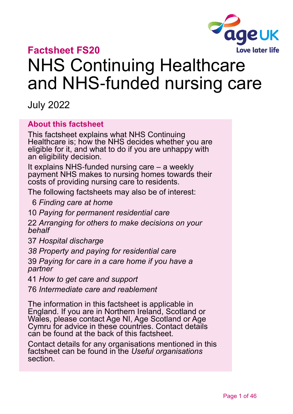

# **Factsheet FS20**

# NHS Continuing Healthcare and NHS-funded nursing care

July 2022

#### **About this factsheet**

This factsheet explains what NHS Continuing Healthcare is; how the NHS decides whether you are eligible for it, and what to do if you are unhappy with an eligibility decision.

It explains NHS-funded nursing care – a weekly payment NHS makes to nursing homes towards their costs of providing nursing care to residents.

The following factsheets may also be of interest:

6 *[Finding care at home](https://www.ageuk.org.uk/globalassets/age-uk/documents/factsheets/fs6_finding_help_at_home_fcs.pdf)*

10 *[Paying for permanent residential care](https://www.ageuk.org.uk/globalassets/age-uk/documents/factsheets/fs10_paying_for_permanent_residential_care_fcs.pdf)*

22 *[Arranging for others to make decisions on your](https://www.ageuk.org.uk/globalassets/age-uk/documents/factsheets/fs22_arranging_for_someone_to_make_decisions_on_your_behalf_fcs.pdf)  [behalf](https://www.ageuk.org.uk/globalassets/age-uk/documents/factsheets/fs22_arranging_for_someone_to_make_decisions_on_your_behalf_fcs.pdf)*

37 *[Hospital discharge](https://www.ageuk.org.uk/globalassets/age-uk/documents/factsheets/fs37_hospital_discharge_fcs.pdf)*

*38 [Property and paying for residential care](https://www.ageuk.org.uk/globalassets/age-uk/documents/factsheets/fs38_property_and_paying_for_residential_care_fcs.pdf)*

39 *[Paying for care in a care home if you have a](https://www.ageuk.org.uk/globalassets/age-uk/documents/factsheets/fs39-paying-for-care-in-a-care-home-if-you-have-a-partner.pdf)  [partner](https://www.ageuk.org.uk/globalassets/age-uk/documents/factsheets/fs39-paying-for-care-in-a-care-home-if-you-have-a-partner.pdf)*

41 *[How to get care and support](https://www.ageuk.org.uk/globalassets/age-uk/documents/factsheets/fs41_how_to_get_care_and_support_fcs.pdf)*

76 *[Intermediate care and reablement](https://www.ageuk.org.uk/globalassets/age-uk/documents/factsheets/fs76_intermediate_care_and_reablement_fcs.pdf)*

The information in this factsheet is applicable in England. If you are in Northern Ireland, Scotland or Wales, please [contact Age NI, Age Scotland](#page-44-0) or Age [Cymru](#page-44-0) for advice in these countries. Contact details can be found at the back of this factsheet.

Contact details for any organisations mentioned in this factsheet can be found in the *[Useful organisations](#page-42-0)* section.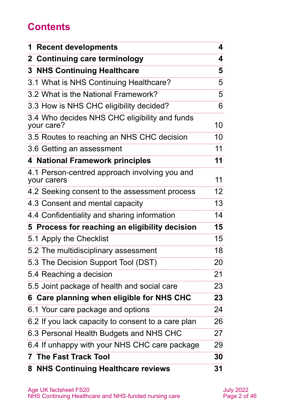# **Contents**

| <b>1 Recent developments</b>                                 | 4               |
|--------------------------------------------------------------|-----------------|
| 2 Continuing care terminology                                | 4               |
| <b>3 NHS Continuing Healthcare</b>                           | 5               |
| 3.1 What is NHS Continuing Healthcare?                       | 5               |
| 3.2 What is the National Framework?                          | 5               |
| 3.3 How is NHS CHC eligibility decided?                      | 6               |
| 3.4 Who decides NHS CHC eligibility and funds<br>your care?  | 10              |
| 3.5 Routes to reaching an NHS CHC decision                   | 10              |
| 3.6 Getting an assessment                                    | 11              |
| <b>4 National Framework principles</b>                       | 11              |
| 4.1 Person-centred approach involving you and<br>your carers | 11              |
| 4.2 Seeking consent to the assessment process                | 12 <sub>2</sub> |
| 4.3 Consent and mental capacity                              | 13              |
| 4.4 Confidentiality and sharing information                  | 14              |
| 5 Process for reaching an eligibility decision               | 15              |
| 5.1 Apply the Checklist                                      | 15              |
| 5.2 The multidisciplinary assessment                         | 18              |
| 5.3 The Decision Support Tool (DST)                          | 20              |
| 5.4 Reaching a decision                                      | 21              |
| 5.5 Joint package of health and social care                  | 23              |
| 6 Care planning when eligible for NHS CHC                    | 23              |
| 6.1 Your care package and options                            | 24              |
| 6.2 If you lack capacity to consent to a care plan           | 26              |
| 6.3 Personal Health Budgets and NHS CHC                      | 27              |
| 6.4 If unhappy with your NHS CHC care package                | 29              |
| <b>7 The Fast Track Tool</b>                                 | 30              |
| 8 NHS Continuing Healthcare reviews                          | 31              |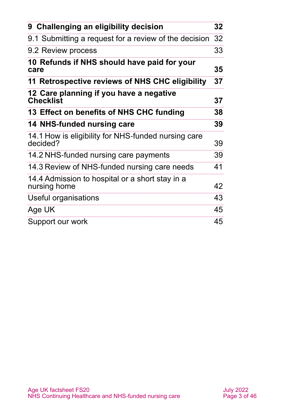| 9 Challenging an eligibility decision                           | 32 |
|-----------------------------------------------------------------|----|
| 9.1 Submitting a request for a review of the decision 32        |    |
| 9.2 Review process                                              | 33 |
| 10 Refunds if NHS should have paid for your<br>care             | 35 |
| 11 Retrospective reviews of NHS CHC eligibility                 | 37 |
| 12 Care planning if you have a negative<br><b>Checklist</b>     | 37 |
| 13 Effect on benefits of NHS CHC funding                        | 38 |
| <b>14 NHS-funded nursing care</b>                               | 39 |
| 14.1 How is eligibility for NHS-funded nursing care<br>decided? | 39 |
| 14.2 NHS-funded nursing care payments                           | 39 |
| 14.3 Review of NHS-funded nursing care needs                    | 41 |
| 14.4 Admission to hospital or a short stay in a<br>nursing home | 42 |
| Useful organisations                                            | 43 |
| Age UK                                                          | 45 |
| Support our work                                                | 45 |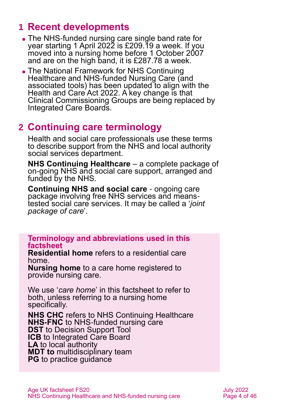# <span id="page-3-0"></span>**1 Recent developments**

- ⚫ The NHS-funded nursing care single band rate for year starting 1 April 2022 is £209.19 a week. If you moved into a nursing home before 1 October 2007 and are on the high band, it is £287.78 a week.
- ⚫ The National Framework for NHS Continuing Healthcare and NHS-funded Nursing Care (and associated tools) has been updated to align with the Health and Care Act 2022. A key change is that Clinical Commissioning Groups are being replaced by Integrated Care Boards.

## <span id="page-3-1"></span>**2 Continuing care terminology**

Health and social care professionals use these terms to describe support from the NHS and local authority social services department.

**NHS Continuing Healthcare** – a complete package of on-going NHS and social care support, arranged and funded by the NHS.

**Continuing NHS and social care** - ongoing care package involving free NHS services and meanstested social care services. It may be called a '*joint package of care*'.

**Terminology and abbreviations used in this factsheet**

**Residential home** refers to a residential care home.

**Nursing home** to a care home registered to provide nursing care.

We use '*care home*' in this factsheet to refer to both, unless referring to a nursing home specifically.

**NHS CHC** refers to NHS Continuing Healthcare **NHS-FNC** to NHS-funded nursing care **DST** to Decision Support Tool **ICB** to Integrated Care Board **LA** to local authority **MDT to** multidisciplinary team **PG** to practice quidance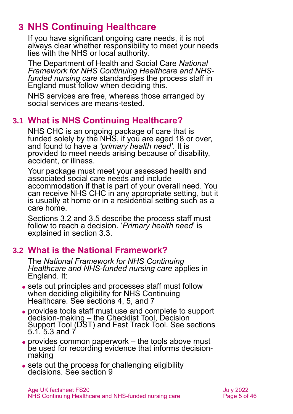# <span id="page-4-0"></span>**3 NHS Continuing Healthcare**

If you have significant ongoing care needs, it is not always clear whether responsibility to meet your needs lies with the NHS or local authority.

The Department of Health and Social Care *[National](https://www.gov.uk/government/publications/national-framework-for-nhs-continuing-healthcare-and-nhs-funded-nursing-care)  [Framework for NHS Continuing Healthcare and NHS](https://www.gov.uk/government/publications/national-framework-for-nhs-continuing-healthcare-and-nhs-funded-nursing-care)[funded nursing care](https://www.gov.uk/government/publications/national-framework-for-nhs-continuing-healthcare-and-nhs-funded-nursing-care)* standardises the process staff in England must follow when deciding this.

NHS services are free, whereas those arranged by social services are means-tested.

### **3.1 What is NHS Continuing Healthcare?**

NHS CHC is an ongoing package of care that is funded solely by the NHS, if you are aged 18 or over, and found to have a *'primary health need'*. It is provided to meet needs arising because of disability, accident, or illness.

Your package must meet your assessed health and associated social care needs and include accommodation if that is part of your overall need. You can receive NHS CHC in any appropriate setting, but it is usually at home or in a residential setting such as a care home.

Sections [3.2](#page-4-1) and [3.5](#page-9-0) describe the process staff must follow to reach a decision. '*Primary health need*' is explained in [section 3.3.](#page-5-0)

### <span id="page-4-1"></span>**3.2 What is the National Framework?**

The *National Framework for NHS Continuing Healthcare and NHS-funded nursing care* applies in England. It:

- sets out principles and processes staff must follow when deciding eligibility for NHS Continuing Healthcare. See [sections 4](#page-10-0)[, 5,](#page-14-0) [and](#page-29-0) 7
- ⚫ provides tools staff must use and complete to support decision-making – the Checklist Tool, Decision Support Tool (DST) and Fast Track Tool. See [sections](#page-14-1)  [5.1,](#page-14-1) [5.3](#page-19-0) and  $7$
- ⚫ provides common paperwork the tools above must be used for recording evidence that informs decisionmaking
- ⚫ sets out the process for challenging eligibility decisions. [See section 9](#page-31-0)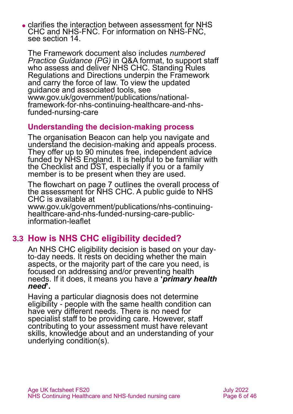⚫ clarifies the interaction between assessment for NHS CHC and NHS-FNC. For information on NHS-FNC, see [section 14.](#page-38-0)

The Framework document also includes *numbered Practice Guidance (PG)* in Q&A format, to support staff who assess and deliver NHS CHC. Standing Rules Regulations and Directions underpin the Framework and carry the force of law. To view the updated guidance and associated tools, see [www.gov.uk/government/publications/national](http://www.gov.uk/government/publications/national-framework-for-nhs-continuing-healthcare-and-nhs-funded-nursing-care)[framework-for-nhs-continuing-healthcare-and-nhs](http://www.gov.uk/government/publications/national-framework-for-nhs-continuing-healthcare-and-nhs-funded-nursing-care)[funded-nursing-care](http://www.gov.uk/government/publications/national-framework-for-nhs-continuing-healthcare-and-nhs-funded-nursing-care)

#### **Understanding the decision-making process**

The organisation [Beacon](http://www.beaconchc.co.uk/) can help you navigate and understand the decision-making and appeals process. They offer up to 90 minutes free, independent advice funded by NHS England. It is helpful to be familiar with the Checklist and DST, especially if you or a family member is to be present when they are used.

The flowchart on page 7 outlines the overall process of the assessment for NHS CHC. A public guide to NHS CHC is available at

[www.gov.uk/government/publications/nhs-continuing](http://www.gov.uk/government/publications/nhs-continuing-healthcare-and-nhs-funded-nursing-care-public-information-leaflet)[healthcare-and-nhs-funded-nursing-care-public](http://www.gov.uk/government/publications/nhs-continuing-healthcare-and-nhs-funded-nursing-care-public-information-leaflet)[information-leaflet](http://www.gov.uk/government/publications/nhs-continuing-healthcare-and-nhs-funded-nursing-care-public-information-leaflet)

### <span id="page-5-0"></span>**3.3 How is NHS CHC eligibility decided?**

An NHS CHC eligibility decision is based on your dayto-day needs. It rests on deciding whether the main aspects, or the majority part of the care you need, is focused on addressing and/or preventing health needs. If it does, it means you have a **'***primary health need***'.**

Having a particular diagnosis does not determine eligibility - people with the same health condition can have very different needs. There is no need for specialist staff to be providing care. However, staff contributing to your assessment must have relevant skills, knowledge about and an understanding of your underlying condition(s).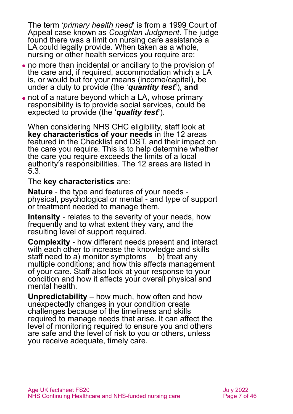The term '*primary health need*' is from a 1999 Court of Appeal case known as *Coughlan Judgment*. The judge found there was a limit on nursing care assistance a LA could legally provide. When taken as a whole, nursing or other health services you require are:

- ⚫ no more than incidental or ancillary to the provision of the care and, if required, accommodation which a LA is, or would but for your means (income/capital), be under a duty to provide (the '*quantity test***'**), **and**
- not of a nature beyond which a LA, whose primary responsibility is to provide social services, could be expected to provide (the '*quality test***'**).

When considering NHS CHC eligibility, staff look at **key characteristics of your needs** in the 12 areas featured in the Checklist and DST, and their impact on the care you require. This is to help determine whether the care you require exceeds the limits of a local authority's responsibilities. The 12 areas are listed in [5.3.](#page-19-0)

#### The **key characteristics** are:

**Nature** - the type and features of your needs physical, psychological or mental - and type of support or treatment needed to manage them.

**Intensity** - relates to the severity of your needs, how frequently and to what extent they vary, and the resulting level of support required.

**Complexity** - how different needs present and interact with each other to increase the knowledge and skills staff need to a) monitor symptoms b) treat any multiple conditions; and how this affects management of your care. Staff also look at your response to your condition and how it affects your overall physical and mental health.

**Unpredictability** – how much, how often and how unexpectedly changes in your condition create challenges because of the timeliness and skills required to manage needs that arise. It can affect the level of monitoring required to ensure you and others are safe and the level of risk to you or others, unless you receive adequate, timely care.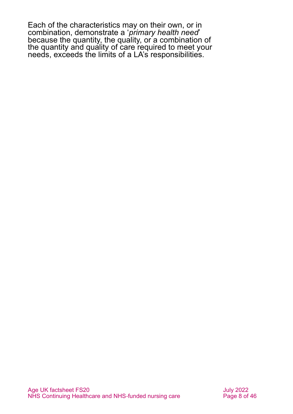Each of the characteristics may on their own, or in combination, demonstrate a '*primary health need*' because the quantity, the quality, or a combination of the quantity and quality of care required to meet your needs, exceeds the limits of a LA's responsibilities.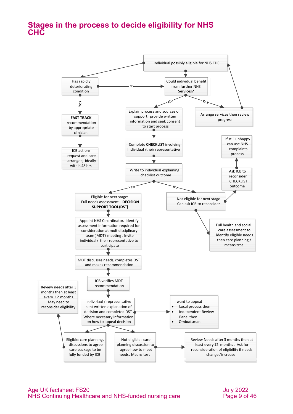#### **Stages in the process to decide eligibility for NHS CHC**

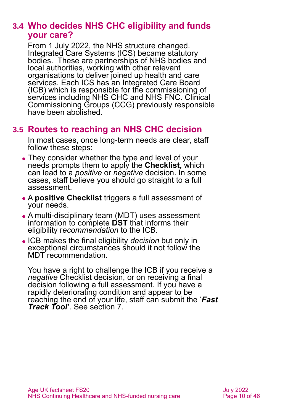### **3.4 Who decides NHS CHC eligibility and funds your care?**

From 1 July 2022, the NHS structure changed. Integrated Care Systems (ICS) became statutory bodies. These are partnerships of NHS bodies and local authorities, working with other relevant organisations to deliver joined up health and care services. Each ICS has an Integrated Care Board (ICB) which is responsible for the commissioning of services including NHS CHC and NHS FNC. Clinical Commissioning Groups (CCG) previously responsible have been abolished.

### <span id="page-9-0"></span>**3.5 Routes to reaching an NHS CHC decision**

In most cases, once long-term needs are clear, staff follow these steps:

- They consider whether the type and level of your needs prompts them to apply the **Checklist,** which can lead to a *positive* or *negative* decision. In some cases, staff believe you should go straight to a full assessment.
- ⚫ A **positive Checklist** triggers a full assessment of your needs.
- ⚫ A multi-disciplinary team (MDT) uses assessment information to complete **DST** that informs their eligibility r*ecommendation* to the ICB.
- ⚫ ICB makes the final eligibility *decision* but only in exceptional circumstances should it not follow the MDT recommendation.

You have a right to challenge the ICB if you receive a *negative* Checklist decision, or on receiving a final decision following a full assessment. If you have a rapidly deteriorating condition and appear to be reaching the end of your life, staff can submit the '*Fast Track Tool***'**. See [section 7.](#page-29-0)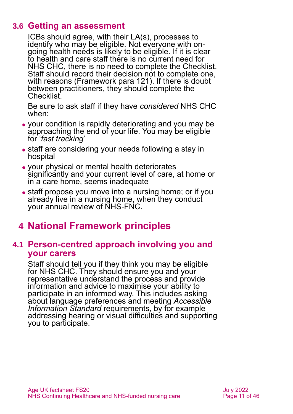### **3.6 Getting an assessment**

<span id="page-10-1"></span>ICBs should agree, with their LA(s), processes to identify who may be eligible. Not everyone with ongoing health needs is likely to be eligible. If it is clear to health and care staff there is no current need for NHS CHC, there is no need to complete the Checklist. Staff should record their decision not to complete one, with reasons (Framework para 121). If there is doubt between practitioners, they should complete the Checklist.

Be sure to ask staff if they have *considered* NHS CHC when:

- ⚫ your condition is rapidly deteriorating and you may be approaching the end of your life. You may be eligible for '*fast tracking*'
- staff are considering your needs following a stay in hospital
- ⚫ your physical or mental health deteriorates significantly and your current level of care, at home or in a care home, seems inadequate
- staff propose you move into a nursing home; or if you already live in a nursing home, when they conduct your annual review of NHS-FNC.

# <span id="page-10-0"></span>**4 National Framework principles**

#### **4.1 Person-centred approach involving you and your carers**

Staff should tell you if they think you may be eligible for NHS CHC. They should ensure you and your representative understand the process and provide information and advice to maximise your ability to participate in an informed way. This includes asking about language preferences and meeting *[Accessible](https://www.england.nhs.uk/ourwork/accessibleinfo/)  [Information Standard](https://www.england.nhs.uk/ourwork/accessibleinfo/) requirements, by for example* addressing hearing or visual difficulties and supporting you to participate.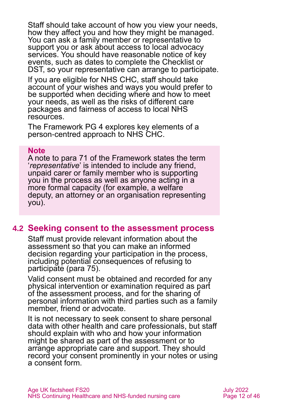Staff should take account of how you view your needs, how they affect you and how they might be managed. You can ask a family member or representative to support you or ask about access to local advocacy services. You should have reasonable notice of key events, such as dates to complete the Checklist or DST, so your representative can arrange to participate.

If you are eligible for NHS CHC, staff should take account of your wishes and ways you would prefer to be supported when deciding where and how to meet your needs, as well as the risks of different care packages and fairness of access to local NHS resources.

The Framework PG 4 explores key elements of a person-centred approach to NHS CHC.

#### **Note**

A note to para 71 of the Framework states the term '*representative*' is intended to include any friend, unpaid carer or family member who is supporting you in the process as well as anyone acting in a more formal capacity (for example, a welfare deputy, an attorney or an organisation representing you).

#### **4.2 Seeking consent to the assessment process**

Staff must provide relevant information about the assessment so that you can make an informed decision regarding your participation in the process, including potential consequences of refusing to participate (para 75).

Valid consent must be obtained and recorded for any physical intervention or examination required as part of the assessment process, and for the sharing of personal information with third parties such as a family member, friend or advocate.

It is not necessary to seek consent to share personal data with other health and care professionals, but staff should explain with who and how your information might be shared as part of the assessment or to arrange appropriate care and support. They should record your consent prominently in your notes or using a consent form.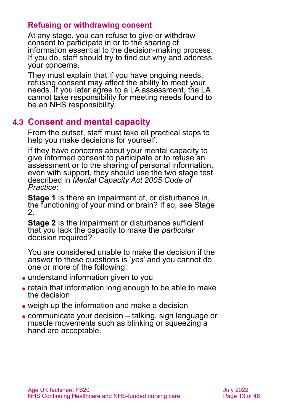#### **Refusing or withdrawing consent**

At any stage, you can refuse to give or withdraw consent to participate in or to the sharing of information essential to the decision-making process. If you do, staff should try to find out why and address your concerns.

They must explain that if you have ongoing needs, refusing consent may affect the ability to meet your needs. If you later agree to a LA assessment, the LA cannot take responsibility for meeting needs found to be an NHS responsibility.

### **4.3 Consent and mental capacity**

From the outset, staff must take all practical steps to help you make decisions for yourself.

If they have concerns about your mental capacity to give informed consent to participate or to refuse an assessment or to the sharing of personal information, even with support, they should use the two stage test described in *[Mental Capacity Act 2005 Code of](https://www.gov.uk/government/publications/mental-capacity-act-code-of-practice)  [Practice](https://www.gov.uk/government/publications/mental-capacity-act-code-of-practice)*:

**Stage 1** Is there an impairment of, or disturbance in, the functioning of your mind or brain? If so, see Stage 2.

**Stage 2** Is the impairment or disturbance sufficient that you lack the capacity to make the *particular*  decision required?

You are considered unable to make the decision if the answer to these questions is '*yes*' and you cannot do one or more of the following:

- understand information given to you
- ⚫ retain that information long enough to be able to make the decision
- ⚫ weigh up the information and make a decision
- ⚫ communicate your decision talking, sign language or muscle movements such as blinking or squeezing a hand are acceptable.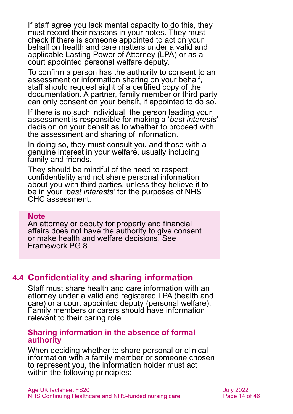If staff agree you lack mental capacity to do this, they must record their reasons in your notes. They must check if there is someone appointed to act on your behalf on health and care matters under a valid and applicable Lasting Power of Attorney (LPA) or as a court appointed personal welfare deputy.

To confirm a person has the authority to consent to an assessment or information sharing on your behalf, staff should request sight of a certified copy of the documentation. A partner, family member or third party can only consent on your behalf, if appointed to do so.

If there is no such individual, the person leading your assessment is responsible for making a '*best interests*' decision on your behalf as to whether to proceed with the assessment and sharing of information.

In doing so, they must consult you and those with a genuine interest in your welfare, usually including family and friends.

They should be mindful of the need to respect confidentiality and not share personal information about you with third parties, unless they believe it to be in your *'best interests'* for the purposes of NHS CHC assessment.

#### **Note**

An attorney or deputy for property and financial affairs does not have the authority to give consent or make health and welfare decisions. See Framework PG 8.

#### **4.4 Confidentiality and sharing information**

Staff must share health and care information with an attorney under a valid and registered LPA (health and care) or a court appointed deputy (personal welfare). Family members or carers should have information relevant to their caring role.

#### **Sharing information in the absence of formal authority**

When deciding whether to share personal or clinical information with a family member or someone chosen to represent you, the information holder must act within the following principles: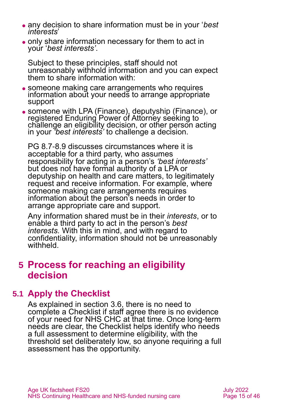- ⚫ any decision to share information must be in your '*best interests*'
- ⚫ only share information necessary for them to act in your '*best interests'*.

Subject to these principles, staff should not unreasonably withhold information and you can expect them to share information with:

- ⚫ someone making care arrangements who requires information about your needs to arrange appropriate support
- ⚫ someone with LPA (Finance), deputyship (Finance), or registered Enduring Power of Attorney seeking to challenge an eligibility decision, or other person acting in your *'best interests'* to challenge a decision.

PG 8.7-8.9 discusses circumstances where it is acceptable for a third party, who assumes responsibility for acting in a person's *'best interests'* but does not have formal authority of a LPA or deputyship on health and care matters, to legitimately request and receive information. For example, where someone making care arrangements requires information about the person's needs in order to arrange appropriate care and support.

Any information shared must be in their *interests*, or to enable a third party to act in the person's *best interests.* With this in mind, and with regard to confidentiality, information should not be unreasonably withheld.

### <span id="page-14-0"></span>**5 Process for reaching an eligibility decision**

### <span id="page-14-1"></span>**5.1 Apply the Checklist**

As explained [in section 3.6,](#page-10-1) there is no need to complete a Checklist if staff agree there is no evidence of your need for NHS CHC at that time. Once long-term needs are clear, the Checklist helps identify who needs a full assessment to determine eligibility, with the threshold set deliberately low, so anyone requiring a full assessment has the opportunity.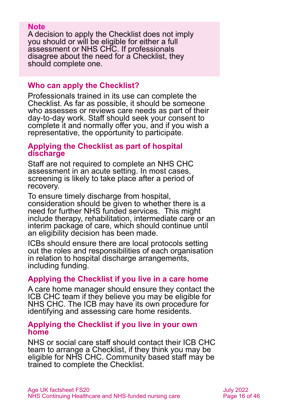#### **Note**

A decision to apply the Checklist does not imply you should or will be eligible for either a full assessment or NHS CHC. If professionals disagree about the need for a Checklist, they should complete one.

#### **Who can apply the Checklist?**

Professionals trained in its use can complete the Checklist. As far as possible, it should be someone who assesses or reviews care needs as part of their day-to-day work. Staff should seek your consent to complete it and normally offer you, and if you wish a representative, the opportunity to participate.

#### **Applying the Checklist as part of hospital discharge**

Staff are not required to complete an NHS CHC assessment in an acute setting. In most cases, screening is likely to take place after a period of recovery.

To ensure timely discharge from hospital, consideration should be given to whether there is a need for further NHS funded services. This might include therapy, rehabilitation, intermediate care or an interim package of care, which should continue until an eligibility decision has been made.

ICBs should ensure there are local protocols setting out the roles and responsibilities of each organisation in relation to hospital discharge arrangements, including funding.

#### **Applying the Checklist if you live in a care home**

A care home manager should ensure they contact the ICB CHC team if they believe you may be eligible for NHS CHC. The ICB may have its own procedure for identifying and assessing care home residents.

#### **Applying the Checklist if you live in your own home**

NHS or social care staff should contact their ICB CHC team to arrange a Checklist, if they think you may be eligible for NHS CHC. Community based staff may be trained to complete the Checklist.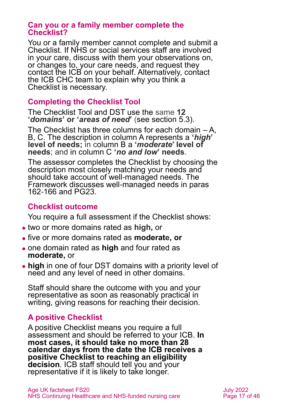#### **Can you or a family member complete the Checklist?**

You or a family member cannot complete and submit a Checklist. If NHS or social services staff are involved in your care, discuss with them your observations on, or changes to, your care needs, and request they contact the ICB on your behalf. Alternatively, contact the ICB CHC team to explain why you think a Checklist is necessary.

#### **Completing the Checklist Tool**

The Checklist Tool and DST use the same **12 '***domains***' or '***areas of need***'** [\(see section 5.3\)](#page-19-0).

The Checklist has three columns for each domain  $-A$ , B, C. The description in column A represents a **'***high***' level of needs;** in column B a **'***moderate***' level of needs**; and in column C **'***no and low***' needs**.

The assessor completes the Checklist by choosing the description most closely matching your needs and should take account of well-managed needs. The Framework discusses well-managed needs in paras 162-166 and PG23.

#### **Checklist outcome**

You require a full assessment if the Checklist shows:

- ⚫ two or more domains rated as **high,** or
- ⚫ five or more domains rated as **moderate, or**
- ⚫ one domain rated as **high** and four rated as **moderate,** or
- ⚫ **high** in one of four DST domains with a priority level of need and any level of need in other domains.

Staff should share the outcome with you and your representative as soon as reasonably practical in writing, giving reasons for reaching their decision.

### **A positive Checklist**

A positive Checklist means you require a full assessment and should be referred to your ICB. **In most cases, it should take no more than 28 calendar days from the date the ICB receives a positive Checklist to reaching an eligibility decision**. ICB staff should tell you and your representative if it is likely to take longer.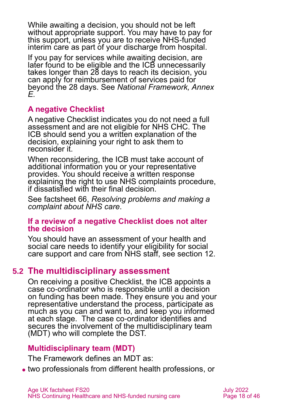While awaiting a decision, you should not be left without appropriate support. You may have to pay for this support, unless you are to receive NHS-funded interim care as part of your discharge from hospital.

If you pay for services while awaiting decision, are later found to be eligible and the ICB unnecessarily takes longer than 28 days to reach its decision, you can apply for reimbursement of services paid for beyond the 28 days. See *National Framework, Annex E.*

### **A negative Checklist**

A negative Checklist indicates you do not need a full assessment and are not eligible for NHS CHC. The ICB should send you a written explanation of the decision, explaining your right to ask them to reconsider it.

When reconsidering, the ICB must take account of additional information you or your representative provides. You should receive a written response explaining the right to use NHS complaints procedure, if dissatisfied with their final decision.

See factsheet 66, *[Resolving problems and making a](https://www.ageuk.org.uk/globalassets/age-uk/documents/factsheets/fs66_resolving_problems_and_making_a_complaint_about_nhs_care_fcs.pdf)  [complaint about NHS care](https://www.ageuk.org.uk/globalassets/age-uk/documents/factsheets/fs66_resolving_problems_and_making_a_complaint_about_nhs_care_fcs.pdf)*.

#### **If a review of a negative Checklist does not alter the decision**

You should have an assessment of your health and social care needs to identify your eligibility for social care support and care from NHS staff, see [section 12.](#page-36-1)

### **5.2 The multidisciplinary assessment**

On receiving a positive Checklist, the ICB appoints a case co-ordinator who is responsible until a decision on funding has been made. They ensure you and your representative understand the process, participate as much as you can and want to, and keep you informed at each stage. The case co-ordinator identifies and secures the involvement of the multidisciplinary team (MDT) who will complete the DST.

#### **Multidisciplinary team (MDT)**

The Framework defines an MDT as:

⚫ two professionals from different health professions, or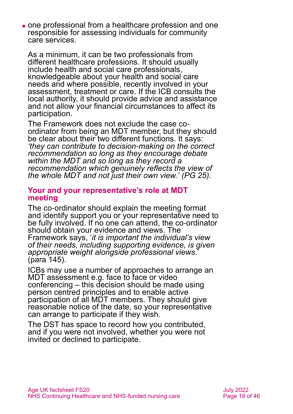⚫ one professional from a healthcare profession and one responsible for assessing individuals for community care services.

As a minimum, it can be two professionals from different healthcare professions. It should usually include health and social care professionals, knowledgeable about your health and social care needs and where possible, recently involved in your assessment, treatment or care. If the ICB consults the local authority, it should provide advice and assistance and not allow your financial circumstances to affect its participation.

The Framework does not exclude the case coordinator from being an MDT member, but they should be clear about their two different functions. It says: *'they can contribute to decision-making on the correct recommendation so long as they encourage debate within the MDT and so long as they record a recommendation which genuinely reflects the view of the whole MDT and not just their own view.' (PG 25).*

#### **Your and your representative's role at MDT meeting**

The co-ordinator should explain the meeting format and identify support you or your representative need to be fully involved. If no one can attend, the co-ordinator should obtain your evidence and views. The Framework says, '*it is important the individual's view of their needs, including supporting evidence, is given appropriate weight alongside professional views*.' (para 145).

ICBs may use a number of approaches to arrange an MDT assessment e.g. face to face or video conferencing – this decision should be made using person centred principles and to enable active participation of all MDT members. They should give reasonable notice of the date, so your representative can arrange to participate if they wish.

The DST has space to record how you contributed, and if you were not involved, whether you were not invited or declined to participate.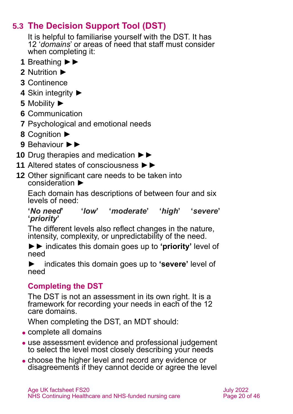# **5.3 The Decision Support Tool (DST)**

<span id="page-19-0"></span>It is helpful to familiarise yourself with [the DST.](https://www.gov.uk/government/publications/nhs-continuing-healthcare-decision-support-tool) It has 12 '*domains*' or areas of need that staff must consider when completing it:

- **1** Breathing ►►
- **2** Nutrition ►
- **3** Continence
- **4** Skin integrity ►
- **5** Mobility ►
- **6** Communication
- **7** Psychological and emotional needs
- **8** Cognition ►
- **9** Behaviour ►►
- **10** Drug therapies and medication ►►
- **11** Altered states of consciousness ►►
- **12** Other significant care needs to be taken into consideration ►

Each domain has descriptions of between four and six levels of need:

#### **'***No need***' '***low***' '***moderate***' '***high***' '***severe***' '***priority***'**

The different levels also reflect changes in the nature, intensity, complexity, or unpredictability of the need.

►► indicates this domain goes up to **'priority'** level of need

► indicates this domain goes up to **'severe'** level of need

### **Completing the DST**

The DST is not an assessment in its own right. It is a framework for recording your needs in each of the 12 care domains.

When completing the DST, an MDT should:

- ⚫ complete all domains
- ⚫ use assessment evidence and professional judgement to select the level most closely describing your needs
- ⚫ choose the higher level and record any evidence or disagreements if they cannot decide or agree the level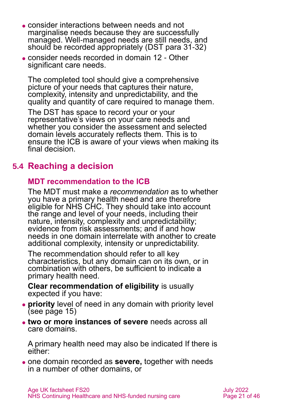- ⚫ consider interactions between needs and not marginalise needs because they are successfully managed. Well-managed needs are still needs, and should be recorded appropriately (DST para 31-32)
- ⚫ consider needs recorded in domain 12 Other significant care needs.

The completed tool should give a comprehensive picture of your needs that captures their nature, complexity, intensity and unpredictability, and the quality and quantity of care required to manage them.

The DST has space to record your or your representative's views on your care needs and whether you consider the assessment and selected domain levels accurately reflects them. This is to ensure the ICB is aware of your views when making its final decision.

### **5.4 Reaching a decision**

#### **MDT recommendation to the ICB**

The MDT must make a *recommendation* as to whether you have a primary health need and are therefore eligible for NHS CHC. They should take into account the range and level of your needs, including their nature, intensity, complexity and unpredictability; evidence from risk assessments; and if and how needs in one domain interrelate with another to create additional complexity, intensity or unpredictability.

The recommendation should refer to all key characteristics, but any domain can on its own, or in combination with others, be sufficient to indicate a primary health need.

**Clear recommendation of eligibility** is usually expected if you have:

- ⚫ **priority** level of need in any domain with priority level [\(see page 15\)](#page-19-0)
- ⚫ **two or more instances of severe** needs across all care domains.

A primary health need may also be indicated If there is either:

⚫ one domain recorded as **severe,** together with needs in a number of other domains, or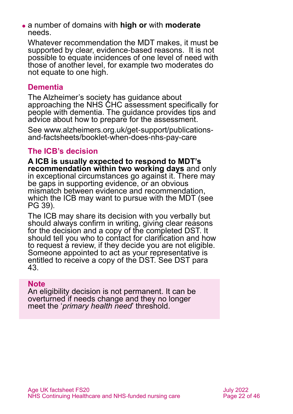⚫ a number of domains with **high or** with **moderate** needs.

Whatever recommendation the MDT makes, it must be supported by clear, evidence-based reasons. It is not possible to equate incidences of one level of need with those of another level, for example two moderates do not equate to one high.

#### **Dementia**

The Alzheimer's society has [guidance](https://www.alzheimers.org.uk/get-support/publications-and-factsheets/booklet-when-does-nhs-pay-care) about approaching the NHS CHC assessment specifically for people with dementia. The guidance provides tips and advice about how to prepare for the assessment.

See [www.alzheimers.org.uk/get-support/publications](https://www.alzheimers.org.uk/get-support/publications-and-factsheets/booklet-when-does-nhs-pay-care)[and-factsheets/booklet-when-does-nhs-pay-care](https://www.alzheimers.org.uk/get-support/publications-and-factsheets/booklet-when-does-nhs-pay-care)

#### **The ICB's decision**

**A ICB is usually expected to respond to MDT's recommendation within two working days** and only in exceptional circumstances go against it. There may be gaps in supporting evidence, or an obvious mismatch between evidence and recommendation, which the ICB may want to pursue with the MDT (see PG 39).

The ICB may share its decision with you verbally but should always confirm in writing, giving clear reasons for the decision and a copy of the completed DST. It should tell you who to contact for clarification and how to request a review, if they decide you are not eligible. Someone appointed to act as your representative is entitled to receive a copy of the DST. See DST para 43.

#### **Note**

An eligibility decision is not permanent. It can be overturned if needs change and they no longer meet the '*primary health need*' threshold.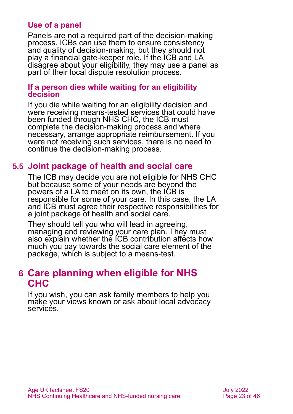#### **Use of a panel**

Panels are not a required part of the decision-making process. ICBs can use them to ensure consistency and quality of decision-making, but they should not play a financial gate-keeper role. If the ICB and LA disagree about your eligibility, they may use a panel as part of their local dispute resolution process.

#### **If a person dies while waiting for an eligibility decision**

If you die while waiting for an eligibility decision and were receiving means-tested services that could have been funded through NHS CHC, the ICB must complete the decision-making process and where necessary, arrange appropriate reimbursement. If you were not receiving such services, there is no need to continue the decision-making process.

#### **5.5 Joint package of health and social care**

The ICB may decide you are not eligible for NHS CHC but because some of your needs are beyond the powers of a LA to meet on its own, the ICB is responsible for some of your care. In this case, the LA and ICB must agree their respective responsibilities for a joint package of health and social care.

They should tell you who will lead in agreeing, managing and reviewing your care plan. They must also explain whether the ICB contribution affects how much you pay towards the social care element of the package, which is subject to a means-test.

### <span id="page-22-0"></span>**6 Care planning when eligible for NHS CHC**

If you wish, you can ask family members to help you make your views known or ask about local advocacy services.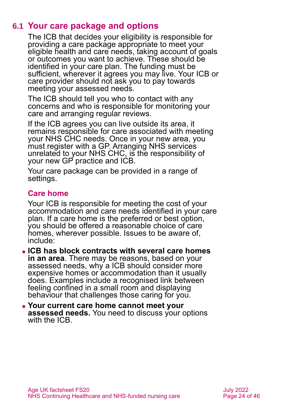### **6.1 Your care package and options**

The ICB that decides your eligibility is responsible for providing a care package appropriate to meet your eligible health and care needs, taking account of goals or outcomes you want to achieve. These should be identified in your care plan. The funding must be sufficient, wherever it agrees you may live. Your ICB or care provider should not ask you to pay towards meeting your assessed needs.

The ICB should tell you who to contact with any concerns and who is responsible for monitoring your care and arranging regular reviews.

If the ICB agrees you can live outside its area, it remains responsible for care associated with meeting your NHS CHC needs. Once in your new area, you must register with a GP. Arranging NHS services unrelated to your NHS CHC, is the responsibility of your new GP practice and ICB.

Your care package can be provided in a range of settings.

#### **Care home**

Your ICB is responsible for meeting the cost of your accommodation and care needs identified in your care plan. If a care home is the preferred or best option, you should be offered a reasonable choice of care homes, wherever possible. Issues to be aware of, include:

- ⚫ **ICB has block contracts with several care homes in an area**. There may be reasons, based on your assessed needs, why a ICB should consider more expensive homes or accommodation than it usually does. Examples include a recognised link between feeling confined in a small room and displaying behaviour that challenges those caring for you.
- ⚫ **Your current care home cannot meet your assessed needs.** You need to discuss your options with the ICB.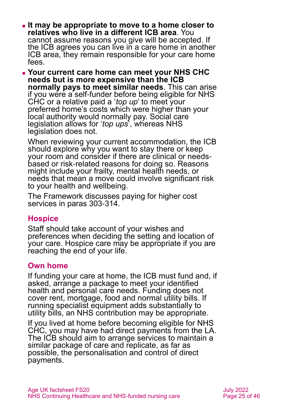- ⚫ **It may be appropriate to move to a home closer to relatives who live in a different ICB area**. You cannot assume reasons you give will be accepted. If the ICB agrees you can live in a care home in another ICB area, they remain responsible for your care home fees.
- ⚫ **Your current care home can meet your NHS CHC needs but is more expensive than the ICB normally pays to meet similar needs**. This can arise if you were a self-funder before being eligible for NHS CHC or a relative paid a '*top up*' to meet your preferred home's costs which were higher than your local authority would normally pay. Social care legislation allows for '*top ups*', whereas NHS legislation does not.

When reviewing your current accommodation, the ICB should explore why you want to stay there or keep your room and consider if there are clinical or needsbased or risk-related reasons for doing so. Reasons might include your frailty, mental health needs, or needs that mean a move could involve significant risk to your health and wellbeing.

The Framework discusses paying for higher cost services in paras 303-314.

#### **Hospice**

Staff should take account of your wishes and preferences when deciding the setting and location of your care. Hospice care may be appropriate if you are reaching the end of your life.

#### **Own home**

If funding your care at home, the ICB must fund and, if asked, arrange a package to meet your identified health and personal care needs. Funding does not cover rent, mortgage, food and normal utility bills. If running specialist equipment adds substantially to utility bills, an NHS contribution may be appropriate.

If you lived at home before becoming eligible for NHS CHC, you may have had direct payments from the LA. The ICB should aim to arrange services to maintain a similar package of care and replicate, as far as possible, the personalisation and control of direct payments.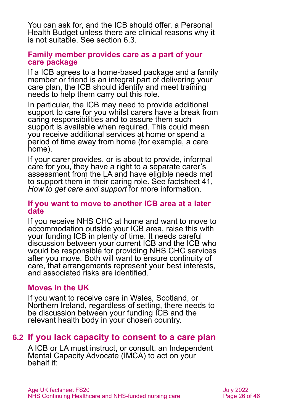You can ask for, and the ICB should offer, a Personal Health Budget unless there are clinical reasons why it is not suitable. See [section 6.3.](#page-26-0)

#### **Family member provides care as a part of your care package**

If a ICB agrees to a home-based package and a family member or friend is an integral part of delivering your care plan, the ICB should identify and meet training needs to help them carry out this role.

In particular, the ICB may need to provide additional support to care for you whilst carers have a break from caring responsibilities and to assure them such support is available when required. This could mean you receive additional services at home or spend a period of time away from home (for example, a care home).

If your carer provides, or is about to provide, informal care for you, they have a right to a separate carer's assessment from the LA and have eligible needs met to support them in their caring role. See factsheet 41, *[How to get care and support](https://www.ageuk.org.uk/globalassets/age-uk/documents/factsheets/fs41_how_to_get_care_and_support_fcs.pdf)* for more information.

#### **If you want to move to another ICB area at a later date**

If you receive NHS CHC at home and want to move to accommodation outside your ICB area, raise this with your funding ICB in plenty of time. It needs careful discussion between your current ICB and the ICB who would be responsible for providing NHS CHC services after you move. Both will want to ensure continuity of care, that arrangements represent your best interests, and associated risks are identified.

#### **Moves in the UK**

If you want to receive care in Wales, Scotland, or Northern Ireland, regardless of setting, there needs to be discussion between your funding ICB and the relevant health body in your chosen country.

### **6.2 If you lack capacity to consent to a care plan**

A ICB or LA must instruct, or consult, an Independent Mental Capacity Advocate (IMCA) to act on your behalf if: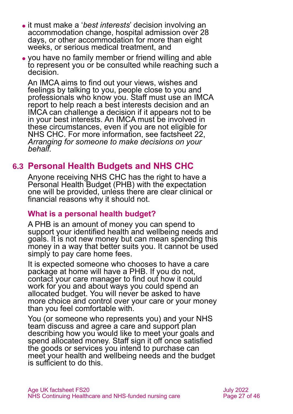- ⚫ it must make a '*best interests*' decision involving an accommodation change, hospital admission over 28 days, or other accommodation for more than eight weeks, or serious medical treatment, and
- ⚫ you have no family member or friend willing and able to represent you or be consulted while reaching such a decision.

An IMCA aims to find out your views, wishes and feelings by talking to you, people close to you and professionals who know you. Staff must use an IMCA report to help reach a best interests decision and an IMCA can challenge a decision if it appears not to be in your best interests. An IMCA must be involved in these circumstances, even if you are not eligible for NHS CHC. For more information, see factsheet 22, *[Arranging for someone to make decisions on your](https://www.ageuk.org.uk/globalassets/age-uk/documents/factsheets/fs22_arranging_for_someone_to_make_decisions_on_your_behalf_fcs.pdf)  [behalf.](https://www.ageuk.org.uk/globalassets/age-uk/documents/factsheets/fs22_arranging_for_someone_to_make_decisions_on_your_behalf_fcs.pdf)*

### <span id="page-26-0"></span>**6.3 Personal Health Budgets and NHS CHC**

Anyone receiving NHS CHC has the right to have a Personal Health Budget (PHB) with the expectation one will be provided, unless there are clear clinical or financial reasons why it should not.

#### **What is a personal health budget?**

A PHB is an amount of money you can spend to support your identified health and wellbeing needs and goals. It is not new money but can mean spending this money in a way that better suits you. It cannot be used simply to pay care home fees.

It is expected someone who chooses to have a care package at home will have a PHB. If you do not, contact your care manager to find out how it could work for you and about ways you could spend an allocated budget. You will never be asked to have more choice and control over your care or your money than you feel comfortable with.

You (or someone who represents you) and your NHS team discuss and agree a care and support plan describing how you would like to meet your goals and spend allocated money. Staff sign it off once satisfied the goods or services you intend to purchase can meet your health and wellbeing needs and the budget is sufficient to do this.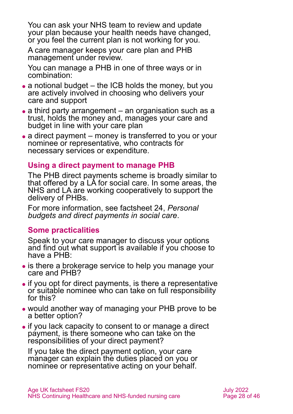You can ask your NHS team to review and update your plan because your health needs have changed, or you feel the current plan is not working for you.

A care manager keeps your care plan and PHB management under review.

You can manage a PHB in one of three ways or in combination:

- $\bullet$  a notional budget the ICB holds the money, but you are actively involved in choosing who delivers your care and support
- ⚫ a third party arrangement an organisation such as a trust, holds the money and, manages your care and budget in line with your care plan
- a direct payment money is transferred to you or your nominee or representative, who contracts for necessary services or expenditure.

#### **Using a direct payment to manage PHB**

The PHB direct payments scheme is broadly similar to that offered by a LA for social care. In some areas, the NHS and LA are working cooperatively to support the delivery of PHBs.

For more information, see factsheet 24, *[Personal](https://www.ageuk.org.uk/globalassets/age-uk/documents/factsheets/fs24_personal_budgets_and_direct_payments_in_social_care_fcs.pdf)  [budgets and direct payments in social care](https://www.ageuk.org.uk/globalassets/age-uk/documents/factsheets/fs24_personal_budgets_and_direct_payments_in_social_care_fcs.pdf)*.

#### **Some practicalities**

Speak to your care manager to discuss your options and find out what support is available if you choose to have a PHB:

- ⚫ is there a brokerage service to help you manage your care and PHB?
- ⚫ if you opt for direct payments, is there a representative or suitable nominee who can take on full responsibility for this?
- ⚫ would another way of managing your PHB prove to be a better option?
- ⚫ if you lack capacity to consent to or manage a direct payment, is there someone who can take on the responsibilities of your direct payment?

If you take the direct payment option, your care manager can explain the duties placed on you or nominee or representative acting on your behalf.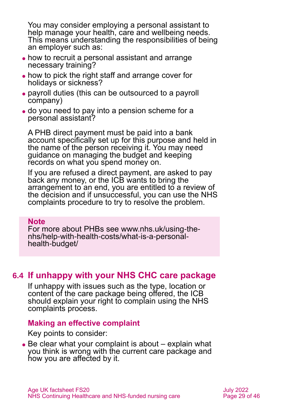You may consider employing a personal assistant to help manage your health, care and wellbeing needs. This means understanding the responsibilities of being an employer such as:

- ⚫ how to recruit a personal assistant and arrange necessary training?
- ⚫ how to pick the right staff and arrange cover for holidays or sickness?
- ⚫ payroll duties (this can be outsourced to a payroll company)
- ⚫ do you need to pay into a pension scheme for a personal assistant?

A PHB direct payment must be paid into a bank account specifically set up for this purpose and held in the name of the person receiving it. You may need guidance on managing the budget and keeping records on what you spend money on.

If you are refused a direct payment, are asked to pay back any money, or the ICB wants to bring the arrangement to an end, you are entitled to a review of the decision and if unsuccessful, you can use the NHS complaints procedure to try to resolve the problem.

#### **Note**

For more about PHBs see [www.nhs.uk/using-the](http://www.nhs.uk/using-the-nhs/help-with-health-costs/what-is-a-personal-health-budget/)[nhs/help-with-health-costs/what-is-a-personal](http://www.nhs.uk/using-the-nhs/help-with-health-costs/what-is-a-personal-health-budget/)[health-budget/](http://www.nhs.uk/using-the-nhs/help-with-health-costs/what-is-a-personal-health-budget/)

#### **6.4 If unhappy with your NHS CHC care package**

If unhappy with issues such as the type, location or content of the care package being offered, the ICB should explain your right to complain using the NHS complaints process.

#### **Making an effective complaint**

Key points to consider:

• Be clear what your complaint is about – explain what you think is wrong with the current care package and how you are affected by it.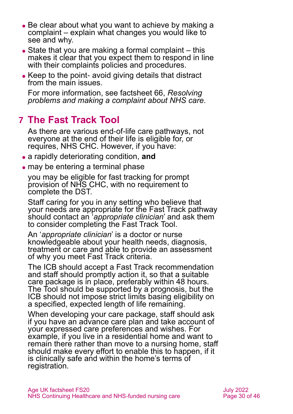- Be clear about what you want to achieve by making a complaint – explain what changes you would like to see and why.
- $\bullet$  State that you are making a formal complaint  $-$  this makes it clear that you expect them to respond in line with their complaints policies and procedures.
- Keep to the point- avoid giving details that distract from the main issues.

For more information, see factsheet 66, *[Resolving](https://www.ageuk.org.uk/globalassets/age-uk/documents/factsheets/fs66_resolving_problems_and_making_a_complaint_about_nhs_care_fcs.pdf)  [problems and making a complaint about NHS care.](https://www.ageuk.org.uk/globalassets/age-uk/documents/factsheets/fs66_resolving_problems_and_making_a_complaint_about_nhs_care_fcs.pdf)*

# <span id="page-29-0"></span>**7 The Fast Track Tool**

As there are various end-of-life care pathways, not everyone at the end of their life is eligible for, or requires, NHS CHC. However, if you have:

- ⚫ a rapidly deteriorating condition, **and**
- may be entering a terminal phase

you may be eligible for fast tracking for prompt provision of NHS CHC, with no requirement to complete the DST.

Staff caring for you in any setting who believe that your needs are appropriate for the Fast Track pathway should contact an '*appropriate clinician*' and ask them to consider completing the Fast Track Tool.

An '*appropriate clinician*' is a doctor or nurse knowledgeable about your health needs, diagnosis, treatment or care and able to provide an assessment of why you meet Fast Track criteria.

The ICB should accept a Fast Track recommendation and staff should promptly action it, so that a suitable care package is in place, preferably within 48 hours. The Tool should be supported by a prognosis, but the ICB should not impose strict limits basing eligibility on a specified, expected length of life remaining.

When developing your care package, staff should ask if you have an advance care plan and take account of your expressed care preferences and wishes. For example, if you live in a residential home and want to remain there rather than move to a nursing home, staff should make every effort to enable this to happen, if it is clinically safe and within the home's terms of registration.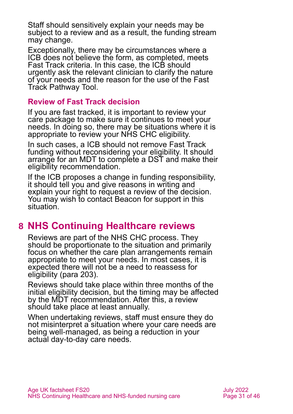Staff should sensitively explain your needs may be subject to a review and as a result, the funding stream may change.

Exceptionally, there may be circumstances where a ICB does not believe the form, as completed, meets Fast Track criteria. In this case, the ICB should urgently ask the relevant clinician to clarify the nature of your needs and the reason for the use of the Fast Track Pathway Tool.

#### **Review of Fast Track decision**

If you are fast tracked, it is important to review your care package to make sure it continues to meet your needs. In doing so, there may be situations where it is appropriate to review your NHS CHC eligibility.

In such cases, a ICB should not remove Fast Track funding without reconsidering your eligibility. It should arrange for an MDT to complete a DST and make their eligibility recommendation.

If the ICB proposes a change in funding responsibility, it should tell you and give reasons in writing and explain your right to request a review of the decision. You may wish to contact Beacon for support in this situation.

### <span id="page-30-0"></span>**8 NHS Continuing Healthcare reviews**

Reviews are part of the NHS CHC process. They should be proportionate to the situation and primarily focus on whether the care plan arrangements remain appropriate to meet your needs. In most cases, it is expected there will not be a need to reassess for eligibility (para 203).

Reviews should take place within three months of the initial eligibility decision, but the timing may be affected by the MDT recommendation. After this, a review should take place at least annually.

When undertaking reviews, staff must ensure they do not misinterpret a situation where your care needs are being well-managed, as being a reduction in your actual day-to-day care needs.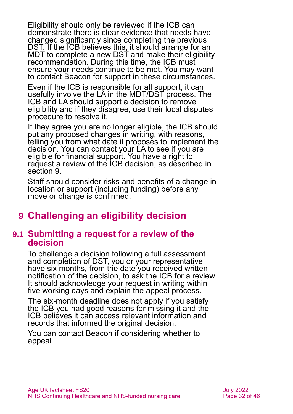Eligibility should only be reviewed if the ICB can demonstrate there is clear evidence that needs have changed significantly since completing the previous DST. If the ICB believes this, it should arrange for an MDT to complete a new DST and make their eligibility recommendation. During this time, the ICB must ensure your needs continue to be met. You may want to contact Beacon for support in these circumstances.

Even if the ICB is responsible for all support, it can usefully involve the LA in the MDT/DST process. The ICB and LA should support a decision to remove eligibility and if they disagree, use their local disputes procedure to resolve it.

If they agree you are no longer eligible, the ICB should put any proposed changes in writing, with reasons, telling you from what date it proposes to implement the decision. You can contact your LA to see if you are eligible for financial support. You have a right to request a review of the ICB decision, as described in [section 9.](#page-31-0)

Staff should consider risks and benefits of a change in location or support (including funding) before any move or change is confirmed.

# <span id="page-31-0"></span>**9 Challenging an eligibility decision**

#### **9.1 Submitting a request for a review of the decision**

To challenge a decision following a full assessment and completion of DST, you or your representative have six months*,* from the date you received written notification of the decision, to ask the ICB for a review. It should acknowledge your request in writing within five working days and explain the appeal process.

The six-month deadline does not apply if you satisfy the ICB you had good reasons for missing it and the ICB believes it can access relevant information and records that informed the original decision.

You can contact Beacon if considering whether to appeal.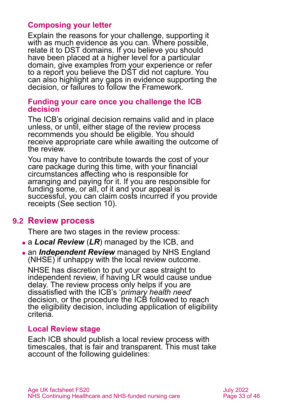#### **Composing your letter**

Explain the reasons for your challenge, supporting it with as much evidence as you can. Where possible, relate it to DST domains. If you believe you should have been placed at a higher level for a particular domain, give examples from your experience or refer to a report you believe the DST did not capture. You can also highlight any gaps in evidence supporting the decision, or failures to follow the Framework.

#### **Funding your care once you challenge the ICB decision**

The ICB's original decision remains valid and in place unless, or until, either stage of the review process recommends you should be eligible. You should receive appropriate care while awaiting the outcome of the review.

You may have to contribute towards the cost of your care package during this time, with your financial circumstances affecting who is responsible for arranging and paying for it. If you are responsible for funding some, or all, of it and your appeal is successful, you can claim costs incurred if you provide receipts [\(See section 10\)](#page-34-0).

#### **9.2 Review process**

There are two stages in the review process:

- ⚫ a *Local Review* (*LR*) managed by the ICB, and
- ⚫ an *Independent Review* managed by NHS England (NHSE) if unhappy with the local review outcome.

NHSE has discretion to put your case straight to independent review, if having LR would cause undue delay. The review process only helps if you are dissatisfied with the ICB's '*primary health need*' decision, or the procedure the ICB followed to reach the eligibility decision, including application of eligibility criteria.

#### **Local Review stage**

Each ICB should publish a local review process with timescales, that is fair and transparent. This must take account of the following guidelines: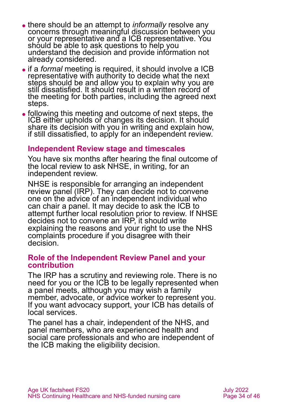- ⚫ there should be an attempt to *informally* resolve any concerns through meaningful discussion between you or your representative and a ICB representative. You should be able to ask questions to help you understand the decision and provide information not already considered.
- ⚫ if a *formal* meeting is required, it should involve a ICB representative with authority to decide what the next steps should be and allow you to explain why you are still dissatisfied. It should result in a written record of the meeting for both parties, including the agreed next steps.
- ⚫ following this meeting and outcome of next steps, the ICB either upholds or changes its decision. It should share its decision with you in writing and explain how, if still dissatisfied, to apply for an independent review.

#### **Independent Review stage and timescales**

You have six months after hearing the final outcome of the local review to ask NHSE, in writing, for an independent review.

NHSE is responsible for arranging an independent review panel (IRP). They can decide not to convene one on the advice of an independent individual who can chair a panel. It may decide to ask the ICB to attempt further local resolution prior to review. If NHSE decides not to convene an IRP, it should write explaining the reasons and your right to use the NHS complaints procedure if you disagree with their decision.

#### **Role of the Independent Review Panel and your contribution**

The IRP has a scrutiny and reviewing role. There is no need for you or the ICB to be legally represented when a panel meets, although you may wish a family member, advocate, or advice worker to represent you. If you want advocacy support, your ICB has details of local services.

The panel has a chair, independent of the NHS, and panel members, who are experienced health and social care professionals and who are independent of the ICB making the eligibility decision.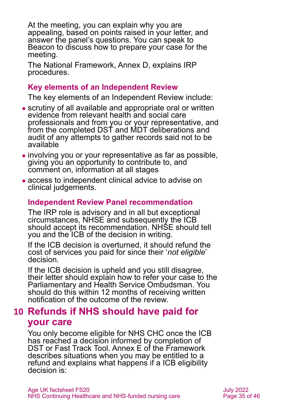At the meeting, you can explain why you are appealing, based on points raised in your letter, and answer the panel's questions. You can speak to Beacon to discuss how to prepare your case for the meeting.

The National Framework, Annex D, explains IRP procedures.

#### **Key elements of an Independent Review**

The key elements of an Independent Review include:

- ⚫ scrutiny of all available and appropriate oral or written evidence from relevant health and social care professionals and from you or your representative, and from the completed DST and MDT deliberations and audit of any attempts to gather records said not to be available
- ⚫ involving you or your representative as far as possible, giving you an opportunity to contribute to, and comment on, information at all stages
- ⚫ access to independent clinical advice to advise on clinical judgements.

#### **Independent Review Panel recommendation**

The IRP role is advisory and in all but exceptional circumstances, NHSE and subsequently the ICB should accept its recommendation. NHSE should tell you and the ICB of the decision in writing.

If the ICB decision is overturned, it should refund the cost of services you paid for since their '*not eligible*' decision.

If the ICB decision is upheld and you still disagree, their letter should explain how to refer your case to the [Parliamentary and Health Service Ombudsman.](https://www.ombudsman.org.uk/) You should do this within 12 months of receiving written notification of the outcome of the review.

### <span id="page-34-0"></span>**10 Refunds if NHS should have paid for your care**

You only become eligible for NHS CHC once the ICB has reached a decision informed by completion of DST or Fast Track Tool. Annex E of the Framework describes situations when you may be entitled to a refund and explains what happens if a ICB eligibility decision is: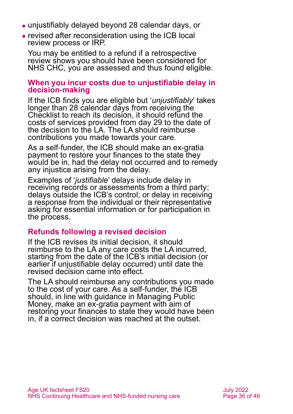- ⚫ unjustifiably delayed beyond 28 calendar days, or
- ⚫ revised after reconsideration using the ICB local review process or IRP.

You may be entitled to a refund if a retrospective review shows you should have been considered for NHS CHC, you are assessed and thus found eligible.

#### **When you incur costs due to unjustifiable delay in decision-making**

If the ICB finds you are eligible but '*unjustifiably*' takes longer than 28 calendar days from receiving the Checklist to reach its decision, it should refund the costs of services provided from day 29 to the date of the decision to the LA. The LA should reimburse contributions you made towards your care.

As a self-funder, the ICB should make an ex-gratia payment to restore your finances to the state they would be in, had the delay not occurred and to remedy any injustice arising from the delay.

Examples of '*justifiable*' delays include delay in receiving records or assessments from a third party; delays outside the ICB's control; or delay in receiving a response from the individual or their representative asking for essential information or for participation in the process.

#### **Refunds following a revised decision**

If the ICB revises its initial decision, it should reimburse to the LA any care costs the LA incurred, starting from the date of the ICB's initial decision (or earlier if unjustifiable delay occurred) until date the revised decision came into effect.

The LA should reimburse any contributions you made to the cost of your care. As a self-funder, the ICB should, in line with guidance in [Managing Public](https://www.gov.uk/government/publications/managing-public-money)  [Money,](https://www.gov.uk/government/publications/managing-public-money) make an ex-gratia payment with aim of restoring your finances to state they would have been in, if a correct decision was reached at the outset.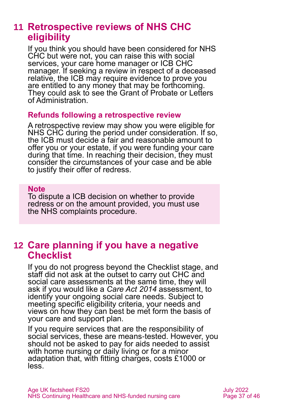### <span id="page-36-0"></span>**11 Retrospective reviews of NHS CHC eligibility**

If you think you should have been considered for NHS CHC but were not, you can raise this with social services, your care home manager or ICB CHC manager. If seeking a review in respect of a deceased relative, the ICB may require evidence to prove you are entitled to any money that may be forthcoming. They could ask to see the Grant of Probate or Letters of Administration.

#### **Refunds following a retrospective review**

A retrospective review may show you were eligible for NHS CHC during the period under consideration. If so, the ICB must decide a fair and reasonable amount to offer you or your estate, if you were funding your care during that time. In reaching their decision, they must consider the circumstances of your case and be able to justify their offer of redress.

#### **Note**

To dispute a ICB decision on whether to provide redress or on the amount provided, you must use the NHS complaints procedure.

### <span id="page-36-1"></span>**12 Care planning if you have a negative Checklist**

If you do not progress beyond the Checklist stage, and staff did not ask at the outset to carry out CHC and social care assessments at the same time, they will ask if you would like a *Care Act 2014* assessment, to identify your ongoing social care needs. Subject to meeting specific eligibility criteria, your needs and views on how they can best be met form the basis of your care and support plan.

If you require services that are the responsibility of social services, these are means-tested. However, you should not be asked to pay for aids needed to assist with home nursing or daily living or for a minor adaptation that, with fitting charges, costs £1000 or less.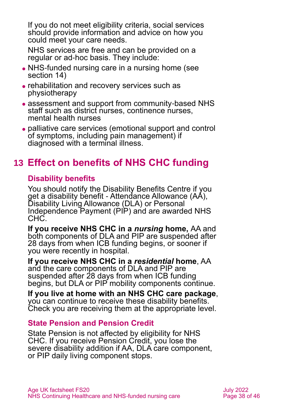If you do not meet eligibility criteria, social services should provide information and advice on how you could meet your care needs.

NHS services are free and can be provided on a regular or ad-hoc basis. They include:

- ⚫ NHS-funded nursing care in a nursing home (see [section 14\)](#page-38-0)
- ⚫ rehabilitation and recovery services such as physiotherapy
- assessment and support from community-based NHS staff such as district nurses, continence nurses, mental health nurses
- ⚫ palliative care services (emotional support and control of symptoms, including pain management) if diagnosed with a terminal illness.

# <span id="page-37-0"></span>**13 Effect on benefits of NHS CHC funding**

### **Disability benefits**

You should notify the Disability Benefits Centre if you get a disability benefit - Attendance Allowance (AA), Disability Living Allowance (DLA) or Personal Independence Payment (PIP) and are awarded NHS CHC.

**If you receive NHS CHC in a** *nursing* **home,** AA and both components of DLA and PIP are suspended after 28 days from when ICB funding begins, or sooner if you were recently in hospital.

**If you receive NHS CHC in a** *residential* **home**, AA and the care components of DLA and PIP are suspended after 28 days from when ICB funding begins, but DLA or PIP mobility components continue.

**If you live at home with an NHS CHC care package**, you can continue to receive these disability benefits. Check you are receiving them at the appropriate level.

#### **State Pension and Pension Credit**

State Pension is not affected by eligibility for NHS CHC. If you receive Pension Credit, you lose the severe disability addition if AA, DLA care component, or PIP daily living component stops.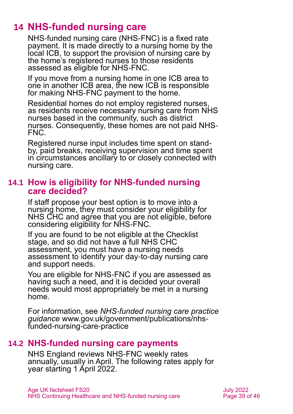# **14 NHS-funded nursing care**

<span id="page-38-0"></span>NHS-funded nursing care (NHS-FNC) is a fixed rate payment. It is made directly to a nursing home by the local ICB, to support the provision of nursing care by the home's registered nurses to those residents assessed as eligible for NHS-FNC.

If you move from a nursing home in one ICB area to one in another ICB area, the new ICB is responsible for making NHS-FNC payment to the home.

Residential homes do not employ registered nurses, as residents receive necessary nursing care from NHS nurses based in the community, such as district nurses. Consequently, these homes are not paid NHS-FNC.

Registered nurse input includes time spent on standby, paid breaks, receiving supervision and time spent in circumstances ancillary to or closely connected with nursing care.

#### **14.1 How is eligibility for NHS-funded nursing care decided?**

If staff propose your best option is to move into a nursing home, they must consider your eligibility for NHS CHC and agree that you are not eligible, before considering eligibility for NHS-FNC.

If you are found to be not eligible at the Checklist stage, and so did not have a full NHS CHC assessment, you must have a nursing needs assessment to identify your day-to-day nursing care and support needs.

You are eligible for NHS-FNC if you are assessed as having such a need, and it is decided your overall needs would most appropriately be met in a nursing home.

For information, see *[NHS-funded nursing care practice](https://www.gov.uk/government/publications/nhs-funded-nursing-care-practice)  [guidance](https://www.gov.uk/government/publications/nhs-funded-nursing-care-practice)* [www.gov.uk/government/publications/nhs](http://www.gov.uk/government/publications/nhs-funded-nursing-care-practice)[funded-nursing-care-practice](http://www.gov.uk/government/publications/nhs-funded-nursing-care-practice)

#### **14.2 NHS-funded nursing care payments**

NHS England reviews NHS-FNC weekly rates annually, usually in April. The following rates apply for year starting 1 April 2022.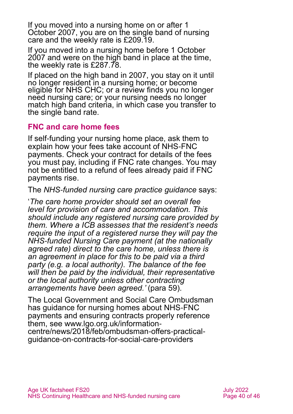If you moved into a nursing home on or after 1 October 2007, you are on the single band of nursing care and the weekly rate is £209.19.

If you moved into a nursing home before 1 October 2007 and were on the high band in place at the time, the weekly rate is £287.78.

If placed on the high band in 2007, you stay on it until no longer resident in a nursing home; or become eligible for NHS CHC; or a review finds you no longer need nursing care; or your nursing needs no longer match high band criteria, in which case you transfer to the single band rate.

#### **FNC and care home fees**

If self-funding your nursing home place, ask them to explain how your fees take account of NHS-FNC payments. Check your contract for details of the fees you must pay, including if FNC rate changes. You may not be entitled to a refund of fees already paid if FNC payments rise.

The *[NHS-funded nursing care practice guidance](https://www.gov.uk/government/publications/nhs-funded-nursing-care-practice)* says:

'*The care home provider should set an overall fee level for provision of care and accommodation. This should include any registered nursing care provided by them. Where a ICB assesses that the resident's needs require the input of a registered nurse they will pay the NHS-funded Nursing Care payment (at the nationally agreed rate) direct to the care home, unless there is an agreement in place for this to be paid via a third party (e.g. a local authority). The balance of the fee will then be paid by the individual, their representative or the local authority unless other contracting arrangements have been agreed.'* (para 59).

The [Local Government and Social Care Ombudsman](https://www.lgo.org.uk/information-centre/news/2018/feb/ombudsman-offers-practical-guidance-on-contracts-for-social-care-providers) has guidance for nursing homes about NHS-FNC payments and ensuring contracts properly reference them, see [www.lgo.org.uk/information](http://www.lgo.org.uk/information-centre/news/2018/feb/ombudsman-offers-practical-guidance-on-contracts-for-social-care-providers)[centre/news/2018/feb/ombudsman-offers-practical](http://www.lgo.org.uk/information-centre/news/2018/feb/ombudsman-offers-practical-guidance-on-contracts-for-social-care-providers)[guidance-on-contracts-for-social-care-providers](http://www.lgo.org.uk/information-centre/news/2018/feb/ombudsman-offers-practical-guidance-on-contracts-for-social-care-providers)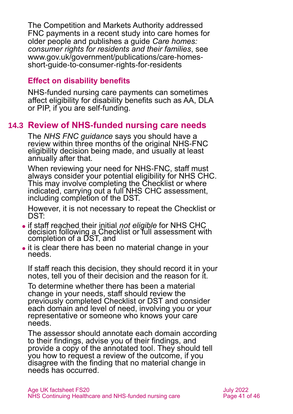The Competition and Markets Authority addressed FNC payments in a recent study into care homes for older people and publishes a guide *Care homes: consumer rights for residents and their families*, see [www.gov.uk/government/publications/care-homes](http://www.gov.uk/government/publications/care-homes-short-guide-to-consumer-rights-for-residents)[short-guide-to-consumer-rights-for-residents](http://www.gov.uk/government/publications/care-homes-short-guide-to-consumer-rights-for-residents)

#### **Effect on disability benefits**

NHS-funded nursing care payments can sometimes affect eligibility for disability benefits such as AA, DLA or PIP, if you are self-funding.

### **14.3 Review of NHS-funded nursing care needs**

The *NHS FNC guidance* says you should have a review within three months of the original NHS-FNC eligibility decision being made, and usually at least annually after that.

When reviewing your need for NHS-FNC, staff must always consider your potential eligibility for NHS CHC. This may involve completing the Checklist or where indicated, carrying out a full NHS CHC assessment, including completion of the DST.

However, it is not necessary to repeat the Checklist or DST:

- ⚫ if staff reached their initial *not eligible* for NHS CHC decision following a Checklist or full assessment with completion of a DST, and
- it is clear there has been no material change in your needs.

If staff reach this decision, they should record it in your notes, tell you of their decision and the reason for it.

To determine whether there has been a material change in your needs, staff should review the previously completed Checklist or DST and consider each domain and level of need, involving you or your representative or someone who knows your care needs.

The assessor should annotate each domain according to their findings, advise you of their findings, and provide a copy of the annotated tool. They should tell you how to request a review of the outcome, if you disagree with the finding that no material change in needs has occurred.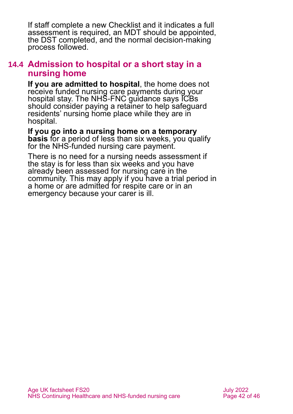If staff complete a new Checklist and it indicates a full assessment is required, an MDT should be appointed, the DST completed, and the normal decision-making process followed.

#### **14.4 Admission to hospital or a short stay in a nursing home**

**If you are admitted to hospital**, the home does not receive funded nursing care payments during your hospital stay. The NHS-FNC guidance says ICBs should consider paying a retainer to help safeguard residents' nursing home place while they are in hospital.

**If you go into a nursing home on a temporary basis** for a period of less than six weeks, you qualify for the NHS-funded nursing care payment.

There is no need for a nursing needs assessment if the stay is for less than six weeks and you have already been assessed for nursing care in the community. This may apply if you have a trial period in a home or are admitted for respite care or in an emergency because your carer is ill.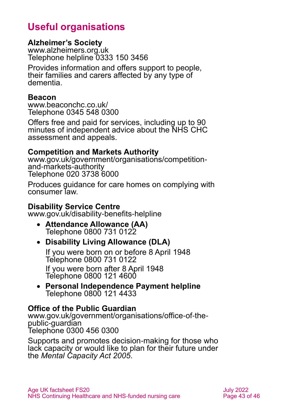# **Useful organisations**

#### <span id="page-42-0"></span>**Alzheimer's Society**

[www.alzheimers.org.uk](http://www.alzheimers.org.uk/) Telephone helpline 0333 150 3456

Provides information and offers support to people, their families and carers affected by any type of dementia.

#### **Beacon**

[www.beaconchc.co.uk/](http://www.beaconchc.co.uk/) Telephone 0345 548 0300

Offers free and paid for services, including up to 90 minutes of independent advice about the NHS CHC assessment and appeals.

#### **Competition and Markets Authority**

[www.gov.uk/government/organisations/competition](http://www.gov.uk/government/organisations/competition-and-markets-authority)[and-markets-authority](http://www.gov.uk/government/organisations/competition-and-markets-authority) Telephone 020 3738 6000

Produces guidance for care homes on complying with consumer law.

#### **Disability Service Centre**

[www.gov.uk/disability-benefits-helpline](http://www.gov.uk/disability-benefits-helpline)

 **Attendance Allowance (AA)** Telephone 0800 731 0122

#### **Disability Living Allowance (DLA)**

If you were born on or before 8 April 1948 Telephone 0800 731 0122 If you were born after 8 April 1948

Telephone 0800 121 4600

 **Personal Independence Payment helpline** Telephone 0800 121 4433

#### **Office of the Public Guardian**

[www.gov.uk/government/organisations/office-of-the](http://www.gov.uk/government/organisations/office-of-the-public-guardian)[public-guardian](http://www.gov.uk/government/organisations/office-of-the-public-guardian) Telephone 0300 456 0300

Supports and promotes decision-making for those who lack capacity or would like to plan for their future under the *Mental Capacity Act 2005*.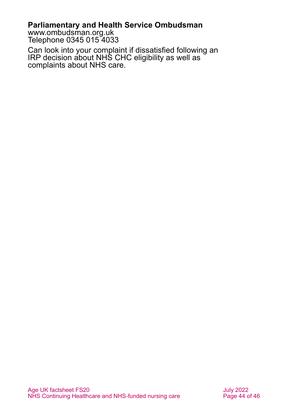#### **Parliamentary and Health Service Ombudsman**

[www.ombudsman.org.uk](http://www.ombudsman.org.uk/) Telephone 0345 015 4033

Can look into your complaint if dissatisfied following an IRP decision about NHS CHC eligibility as well as complaints about NHS care.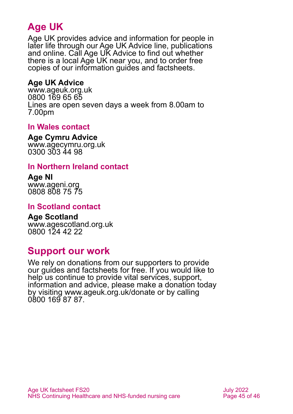# **Age UK**

Age UK provides advice and information for people in later life through our Age UK Advice line, publications and online. Call Age UK Advice to find out whether there is a local Age UK near you, and to order free copies of our information guides and factsheets.

#### <span id="page-44-1"></span>**Age UK Advice**

[www.ageuk.org.uk](http://www.ageuk.org.uk/) 0800 169 65 65 Lines are open seven days a week from 8.00am to 7.00pm

#### **In Wales contact**

**Age Cymru Advice**

[www.agecymru.org.uk](http://www.agecymru.org.uk/) 0300 303 44 98

#### <span id="page-44-0"></span>**In Northern Ireland contact**

**Age NI** [www.ageni.org](http://www.ageni.org/) 0808 808 75 75

#### **In Scotland contact**

<span id="page-44-2"></span>**Age Scotland** [www.agescotland.org.uk](http://www.agescotland.org.uk/) 0800 124 42 22

### **Support our work**

We rely on donations from our supporters to provide our guides and factsheets for free. If you would like to help us continue to provide vital services, support, information and advice, please make a donation today by visiting [www.ageuk.org.uk/donate](http://www.ageuk.org.uk/donate) or by calling 0800 169 87 87.